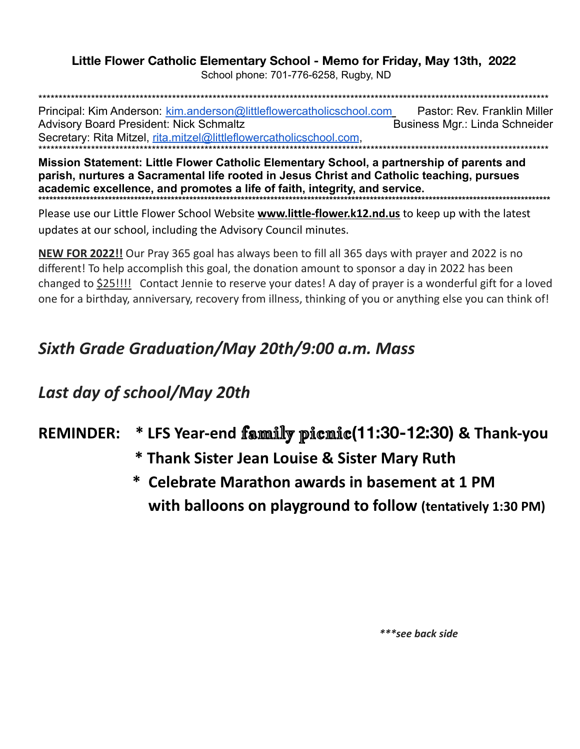## Little Flower Catholic Elementary School - Memo for Friday, May 13th, 2022

School phone: 701-776-6258, Rugby, ND

Principal: Kim Anderson: kim.anderson@littleflowercatholicschool.com Pastor: Rev. Franklin Miller **Advisory Board President: Nick Schmaltz** Business Mgr.: Linda Schneider Secretary: Rita Mitzel, rita.mitzel@littleflowercatholicschool.com,

Mission Statement: Little Flower Catholic Elementary School, a partnership of parents and parish, nurtures a Sacramental life rooted in Jesus Christ and Catholic teaching, pursues academic excellence, and promotes a life of faith, integrity, and service.

Please use our Little Flower School Website www.little-flower.k12.nd.us to keep up with the latest updates at our school, including the Advisory Council minutes.

NEW FOR 2022!! Our Pray 365 goal has always been to fill all 365 days with prayer and 2022 is no different! To help accomplish this goal, the donation amount to sponsor a day in 2022 has been changed to \$25!!!! Contact Jennie to reserve your dates! A day of prayer is a wonderful gift for a loved one for a birthday, anniversary, recovery from illness, thinking of you or anything else you can think of!

## Sixth Grade Graduation/May 20th/9:00 a.m. Mass

## Last day of school/May 20th

## \* LFS Year-end family picmic(11:30-12:30) & Thank-you **REMINDER:**

- \* Thank Sister Jean Louise & Sister Mary Ruth
- \* Celebrate Marathon awards in basement at 1 PM with balloons on playground to follow (tentatively 1:30 PM)